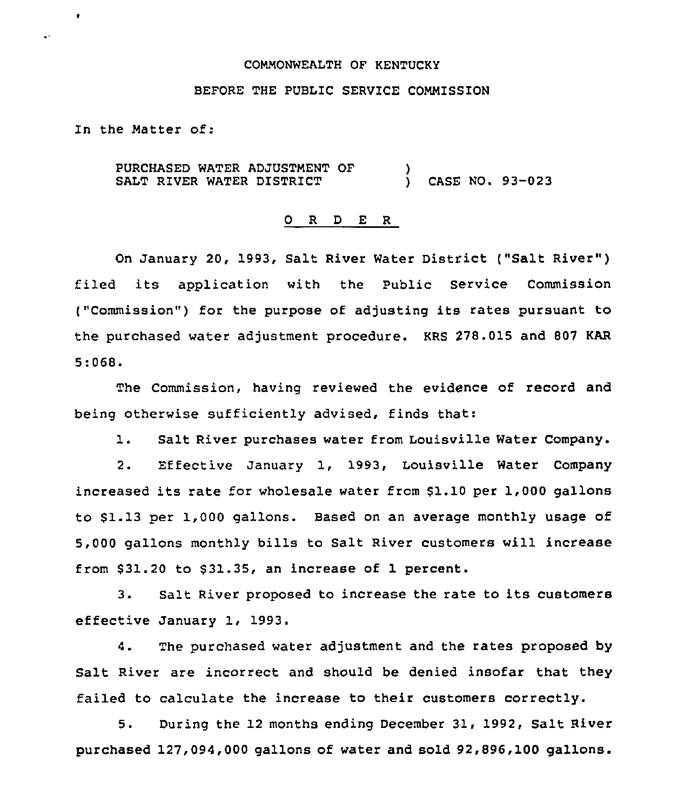#### COMMONWEALTH OF KENTUCKY

### BEFORE THE PUBLIC SERVICE COMMISSION

In the Matter of:

٠

 $\ddot{\phantom{a}}$ 

PURCHASED WATER ADJUSTMENT OF SALT RIVER WATER DISTRICT  $\frac{1}{2}$ ) CASE NO. 93-023

#### 0 R <sup>D</sup> E R

On January 20, 1993, Salt River Water District ("Salt River" ) filed its application with the Public Service Commission ("Commission") for the purpose of adjusting its rates pursuant to the purchased water adjustment procedure. KRS 278.015 and 807 KAR 5:068.

The Commission, having reviewed the evidence of record and being otherwise sufficiently advised, finds that:

1. Salt River purchases water from Louisville Water Company.

2. Effective January 1, 1993, Louisville Water Company increased its rate for wholesale water from \$1.10 per 1,000 gallons to 81.13 per 1,000 gallons. Based on an average monthly usage of 5,000 gallons monthly bills to Salt River customers will increase from \$31.20 to \$31.35, an increase of 1 percent.

3. Salt River proposed to increase the rate to its customers effective January 1, 1993.

4. The purchased water adjustment and the rates proposed by Salt River are incorrect and should be denied insofar that they failed to calculate the increase to their customers correctly.

5. During the 12 months ending December 31, 1992, Salt River purchased 127,094,000 gallons of water and sold 92,896,100 gallons.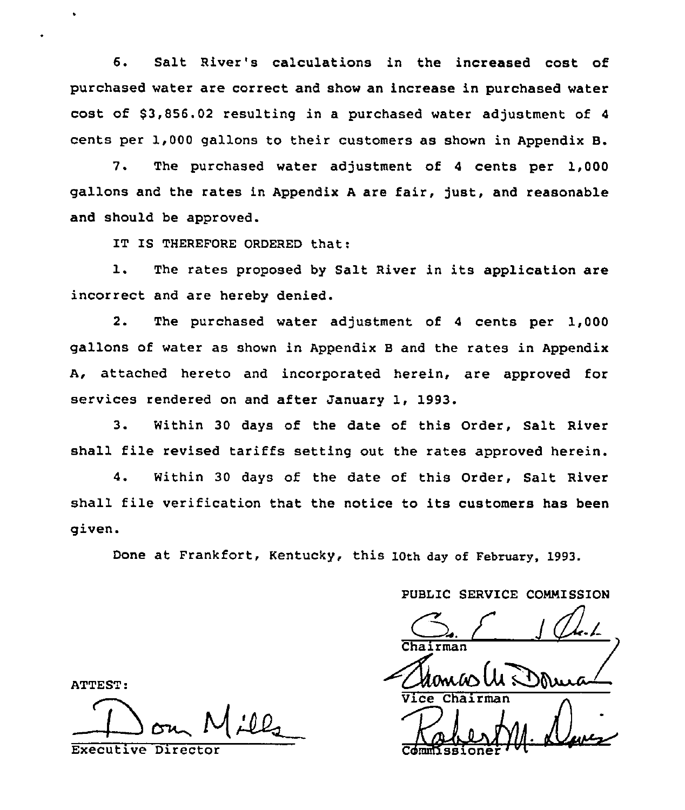6. Salt River's calculations in the increased cost of purchased water are correct and show an increase in purchased water cost of  $$3,856.02$  resulting in a purchased water adjustment of 4 cents per 1,000 gallons to their customers as shown in Appendix B.

7. The purchased water adjustment of <sup>4</sup> cents per 1,000 gallons and the rates in Appendix <sup>A</sup> are fair, just, and reasonable and should be approved.

IT IS THEREFORE ORDERED that:

1. The rates proposed by Salt River in its application are incorrect and are hereby denied.

2. The purchased water adjustment of <sup>4</sup> cents per 1,000 gallons of water as shown in Appendix <sup>B</sup> and the rates in Appendix A, attached hereto and incorporated herein, are approved for services rendered on and after January 1, 1993.

3. Within 30 days of the date of this Order, Salt River shall file revised tariffs setting out the rates approved herein.

4. Within 30 days of the date of this Order, Salt River shall file verification that the notice to its customers has been given.

Done at Frankfort, Kentucky, this 10th day of February, 1993.

PUBLIC SERVICE CONNISSION

 $G.$   $f$ 

Chance Luis Kabest M. Dave

 $\frac{1}{\text{ComMissioner}}$ 

ATTEST:

~l

Executive Director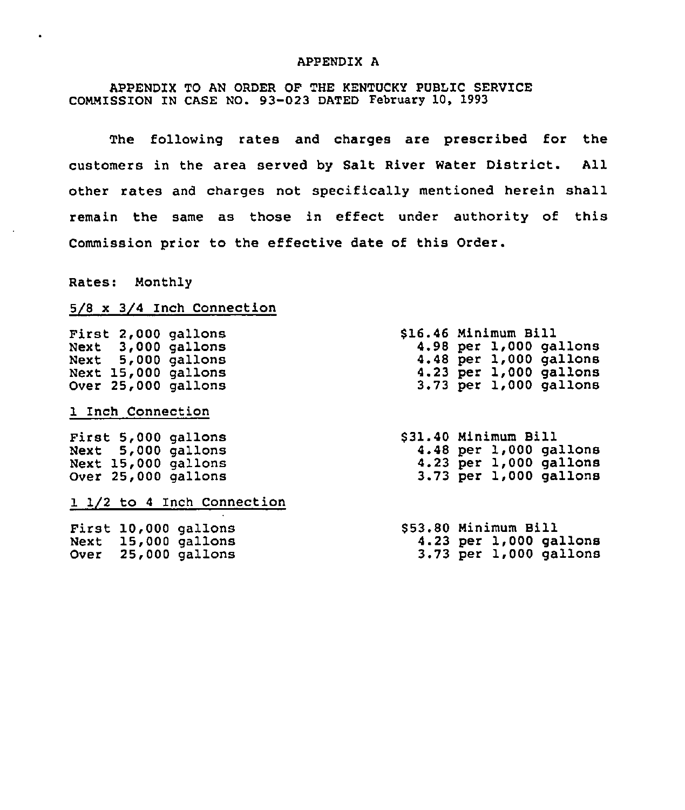#### APPENDIX A

## APPENDIX TO AN ORDER OF THE KENTUCKY PUBLIC SERVICE COMMISSION IN CASE NO. 93-023 DATED February 10, 1993

The following rates and charges are prescribed for the customers in the area served by Salt River Water District. All other rates and charges not specifically mentioned herein shall remain the same as those in effect under authority of this Commission prior to the effective date of this Order.

Rates: Monthly

 $\bullet$ 

# 5/8 x 3/4 Inch Connection

| First 2,000 gallons        | \$16.46 Minimum Bill       |
|----------------------------|----------------------------|
| Next 3,000 gallons         | 4.98 per 1,000 gallons     |
| Next 5,000 gallons         | 4.48 per 1,000 gallons     |
| Next 15,000 gallons        | $4.23$ per $1,000$ gallons |
| Over 25,000 gallons        | 3.73 per 1,000 gallons     |
| 1 Inch Connection          |                            |
| First 5,000 gallons        | \$31.40 Minimum Bill       |
| Next 5,000 gallons         | $4.48$ per $1,000$ gallons |
| Next 15,000 gallons        | 4.23 per 1,000 gallons     |
| Over 25,000 gallons        | 3.73 per 1,000 gallons     |
| 1 1/2 to 4 Inch Connection |                            |
| First 10,000 gallons       | \$53.80 Minimum Bill       |
| Next 15,000 gallons        | $4.23$ per $1,000$ gallons |
| Over 25,000 gallons        | $3.73$ per $1,000$ gallons |